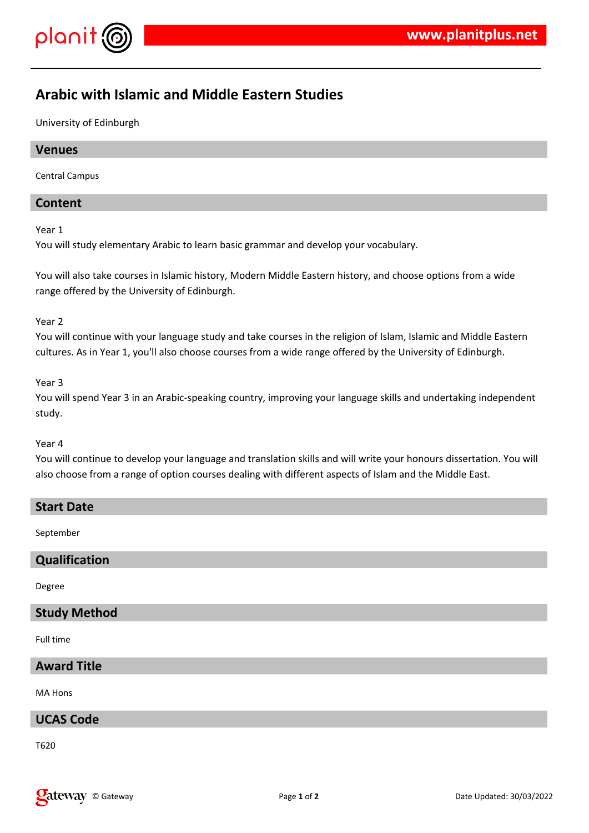

# **Arabic with Islamic and Middle Eastern Studies**

University of Edinburgh

# **Venues**

Central Campus

# **Content**

Year 1

You will study elementary Arabic to learn basic grammar and develop your vocabulary.

You will also take courses in Islamic history, Modern Middle Eastern history, and choose options from a wide range offered by the University of Edinburgh.

### Year 2

You will continue with your language study and take courses in the religion of Islam, Islamic and Middle Eastern cultures. As in Year 1, you'll also choose courses from a wide range offered by the University of Edinburgh.

Year 3

You will spend Year 3 in an Arabic-speaking country, improving your language skills and undertaking independent study.

#### Year 4

You will continue to develop your language and translation skills and will write your honours dissertation. You will also choose from a range of option courses dealing with different aspects of Islam and the Middle East.

### **Start Date**

September

# **Qualification**

Degree

### **Study Method**

Full time

## **Award Title**

MA Hons

# **UCAS Code**

T620